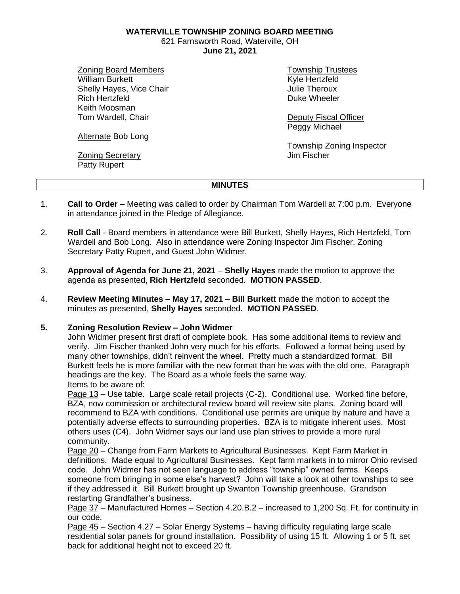**WATERVILLE TOWNSHIP ZONING BOARD MEETING**

621 Farnsworth Road, Waterville, OH **June 21, 2021**

Zoning Board Members William Burkett Shelly Hayes, Vice Chair Rich Hertzfeld Keith Moosman Tom Wardell, Chair

Alternate Bob Long

Zoning Secretary Patty Rupert

Township Trustees Kyle Hertzfeld Julie Theroux Duke Wheeler

Deputy Fiscal Officer Peggy Michael

Township Zoning Inspector Jim Fischer

# **MINUTES**

- 1. **Call to Order** Meeting was called to order by Chairman Tom Wardell at 7:00 p.m. Everyone in attendance joined in the Pledge of Allegiance.
- 2. **Roll Call** Board members in attendance were Bill Burkett, Shelly Hayes, Rich Hertzfeld, Tom Wardell and Bob Long. Also in attendance were Zoning Inspector Jim Fischer, Zoning Secretary Patty Rupert, and Guest John Widmer.
- 3. **Approval of Agenda for June 21, 2021 Shelly Hayes** made the motion to approve the agenda as presented, **Rich Hertzfeld** seconded. **MOTION PASSED**.
- 4. **Review Meeting Minutes – May 17, 2021 Bill Burkett** made the motion to accept the minutes as presented, **Shelly Hayes** seconded. **MOTION PASSED**.

## **5. Zoning Resolution Review – John Widmer**

John Widmer present first draft of complete book. Has some additional items to review and verify. Jim Fischer thanked John very much for his efforts. Followed a format being used by many other townships, didn't reinvent the wheel. Pretty much a standardized format. Bill Burkett feels he is more familiar with the new format than he was with the old one. Paragraph headings are the key. The Board as a whole feels the same way. Items to be aware of:

Page 13 – Use table. Large scale retail projects (C-2). Conditional use. Worked fine before, BZA, now commission or architectural review board will review site plans. Zoning board will recommend to BZA with conditions. Conditional use permits are unique by nature and have a potentially adverse effects to surrounding properties. BZA is to mitigate inherent uses. Most others uses (C4). John Widmer says our land use plan strives to provide a more rural community.

Page 20 – Change from Farm Markets to Agricultural Businesses. Kept Farm Market in definitions. Made equal to Agricultural Businesses. Kept farm markets in to mirror Ohio revised code. John Widmer has not seen language to address "township" owned farms. Keeps someone from bringing in some else's harvest? John will take a look at other townships to see if they addressed it. Bill Burkett brought up Swanton Township greenhouse. Grandson restarting Grandfather's business.

Page 37 – Manufactured Homes – Section 4.20.B.2 – increased to 1,200 Sq. Ft. for continuity in our code.

Page 45 – Section 4.27 – Solar Energy Systems – having difficulty regulating large scale residential solar panels for ground installation. Possibility of using 15 ft. Allowing 1 or 5 ft. set back for additional height not to exceed 20 ft.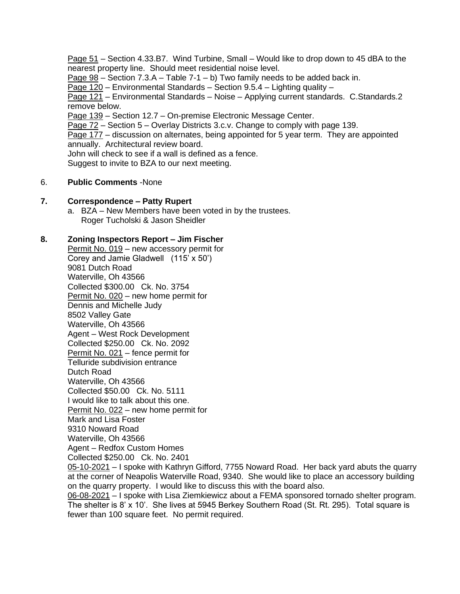Page 51 – Section 4.33.B7. Wind Turbine, Small – Would like to drop down to 45 dBA to the nearest property line. Should meet residential noise level.

Page 98 – Section 7.3.A – Table 7-1 – b) Two family needs to be added back in.

Page 120 – Environmental Standards – Section 9.5.4 – Lighting quality –

Page 121 – Environmental Standards – Noise – Applying current standards. C.Standards.2 remove below.

Page 139 – Section 12.7 – On-premise Electronic Message Center.

Page 72 – Section 5 – Overlay Districts 3.c.v. Change to comply with page 139.

Page 177 – discussion on alternates, being appointed for 5 year term. They are appointed annually. Architectural review board.

John will check to see if a wall is defined as a fence.

Suggest to invite to BZA to our next meeting.

## 6. **Public Comments** -None

### **7. Correspondence – Patty Rupert**

a. BZA – New Members have been voted in by the trustees. Roger Tucholski & Jason Sheidler

### **8. Zoning Inspectors Report – Jim Fischer**

Permit No. 019 – new accessory permit for Corey and Jamie Gladwell (115' x 50') 9081 Dutch Road Waterville, Oh 43566 Collected \$300.00 Ck. No. 3754 Permit No. 020 – new home permit for Dennis and Michelle Judy 8502 Valley Gate Waterville, Oh 43566 Agent – West Rock Development Collected \$250.00 Ck. No. 2092 Permit No. 021 – fence permit for Telluride subdivision entrance Dutch Road Waterville, Oh 43566 Collected \$50.00 Ck. No. 5111 I would like to talk about this one. Permit No. 022 – new home permit for Mark and Lisa Foster 9310 Noward Road Waterville, Oh 43566 Agent – Redfox Custom Homes Collected \$250.00 Ck. No. 2401

05-10-2021 – I spoke with Kathryn Gifford, 7755 Noward Road. Her back yard abuts the quarry at the corner of Neapolis Waterville Road, 9340. She would like to place an accessory building on the quarry property. I would like to discuss this with the board also.

06-08-2021 – I spoke with Lisa Ziemkiewicz about a FEMA sponsored tornado shelter program. The shelter is 8' x 10'. She lives at 5945 Berkey Southern Road (St. Rt. 295). Total square is fewer than 100 square feet. No permit required.